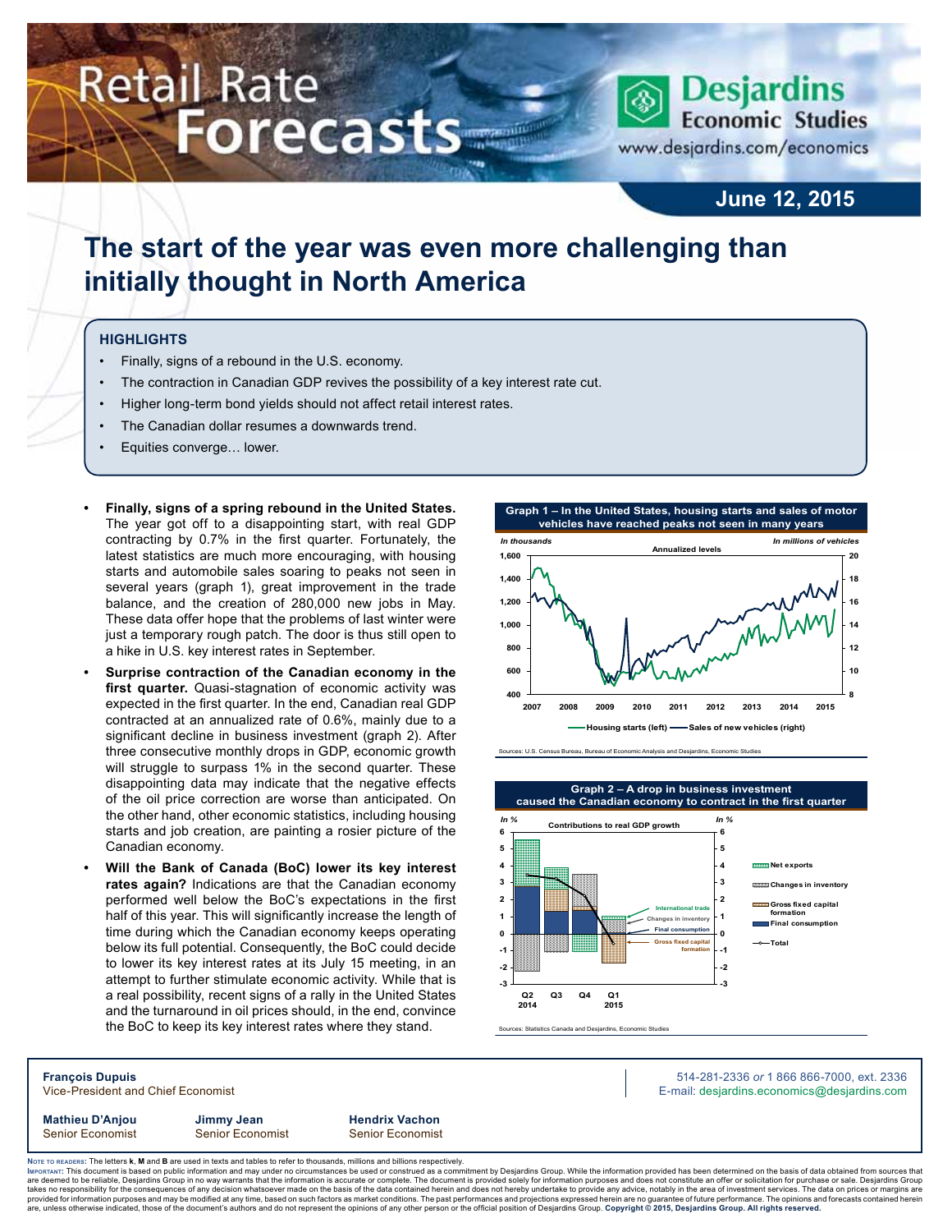# **Retail Rate Forecasts**

## **Desjardins Economic Studies**

www.desjardins.com/economics

## **June 12, 2015**

## **The start of the year was even more challenging than initially thought in North America**

#### **Highlights**

- Finally, signs of a rebound in the U.S. economy.
- The contraction in Canadian GDP revives the possibility of a key interest rate cut.
- Higher long-term bond yields should not affect retail interest rates.
- The Canadian dollar resumes a downwards trend.
- Equities converge… lower.
- **• Finally, signs of a spring rebound in the United States.** The year got off to a disappointing start, with real GDP contracting by 0.7% in the first quarter. Fortunately, the latest statistics are much more encouraging, with housing starts and automobile sales soaring to peaks not seen in several years (graph 1), great improvement in the trade balance, and the creation of 280,000 new jobs in May. These data offer hope that the problems of last winter were just a temporary rough patch. The door is thus still open to a hike in U.S. key interest rates in September.
- **Surprise contraction of the Canadian economy in the first quarter.** Quasi-stagnation of economic activity was expected in the first quarter. In the end, Canadian real GDP contracted at an annualized rate of 0.6%, mainly due to a significant decline in business investment (graph 2). After three consecutive monthly drops in GDP, economic growth will struggle to surpass 1% in the second quarter. These disappointing data may indicate that the negative effects of the oil price correction are worse than anticipated. On the other hand, other economic statistics, including housing starts and job creation, are painting a rosier picture of the Canadian economy.
- **Will the Bank of Canada (BoC) lower its key interest rates again?** Indications are that the Canadian economy performed well below the BoC's expectations in the first half of this year. This will significantly increase the length of time during which the Canadian economy keeps operating below its full potential. Consequently, the BoC could decide to lower its key interest rates at its July 15 meeting, in an attempt to further stimulate economic activity. While that is a real possibility, recent signs of a rally in the United States and the turnaround in oil prices should, in the end, convince the BoC to keep its key interest rates where they stand.



.<br>Inces: U.S. Census Bureau, Bureau of Economic Analysis and Desjardins, Economic Studies



Sources: Statistics Canada and Desjardins, Economic Studies

**François Dupuis** 514-281-2336 *or* 1 866 866-7000, ext. 2336 Vice-President and Chief Economist **E-mail: designediate and Chief Economist** E-mail: designediate economics@desjardins.com **Mathieu D'Anjou Jimmy Jean Hendrix Vachon**

Senior Economist Senior Economist Senior Economist

Noте то келоекs: The letters **k, M** and **B** are used in texts and tables to refer to thousands, millions and billions respectively.<br>Імроктлит: This document is based on public information and may under no circumstances be are deemed to be reliable, Desjardins Group in no way warrants that the information is accurate or complete. The document is provided solely for information purposes and does not constitute an offer or solicitation for pur takes no responsibility for the consequences of any decision whatsoever made on the basis of the data contained herein and does not hereby undertake to provide any advice, notably in the area of investment services. The da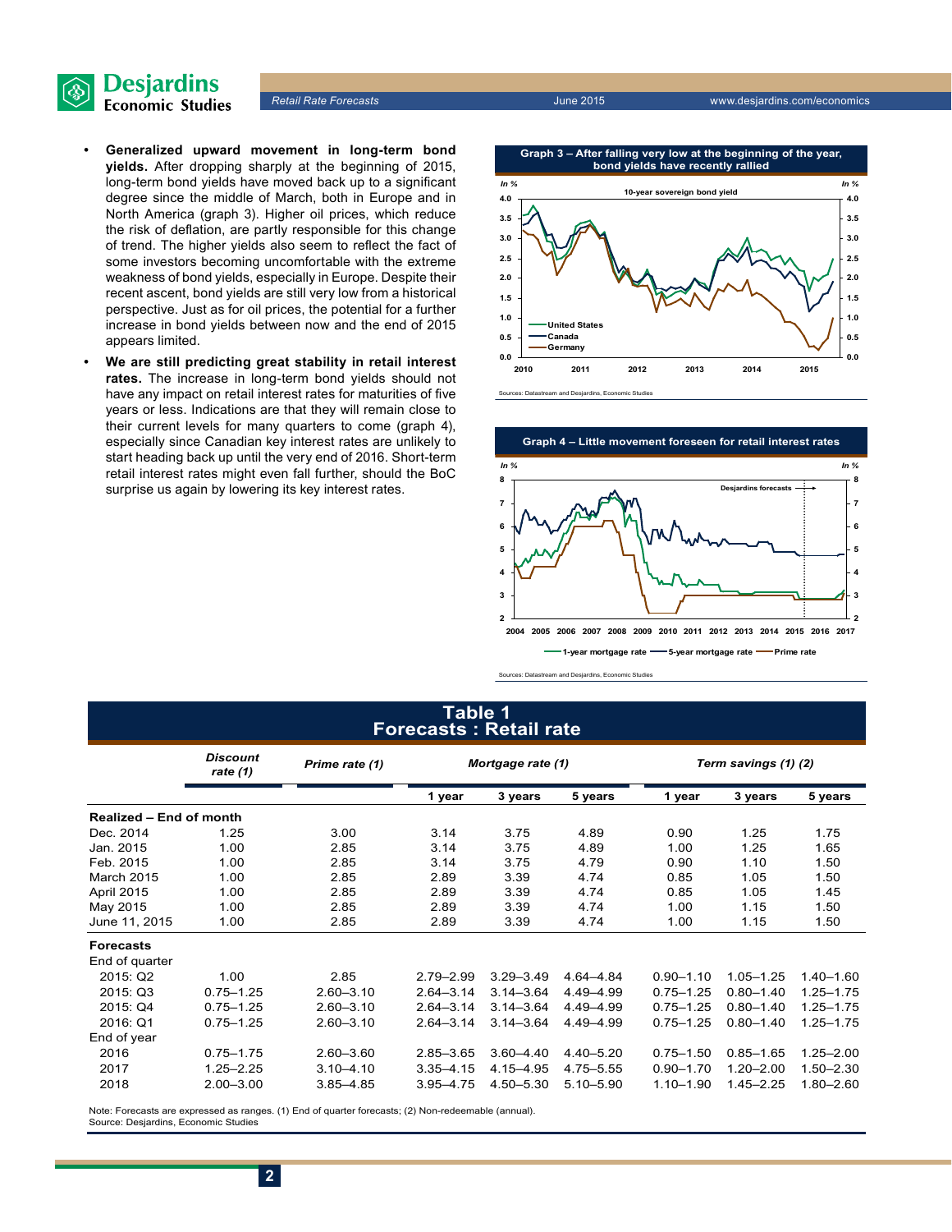

*Retail Rate Forecasts* June 2015 www.desjardins.com/economics

- **• Generalized upward movement in long-term bond yields.** After dropping sharply at the beginning of 2015, long-term bond yields have moved back up to a significant degree since the middle of March, both in Europe and in North America (graph 3). Higher oil prices, which reduce the risk of deflation, are partly responsible for this change of trend. The higher yields also seem to reflect the fact of some investors becoming uncomfortable with the extreme weakness of bond yields, especially in Europe. Despite their recent ascent, bond yields are still very low from a historical perspective. Just as for oil prices, the potential for a further increase in bond yields between now and the end of 2015 appears limited.
- We are still predicting great stability in retail interest **rates.** The increase in long-term bond yields should not have any impact on retail interest rates for maturities of five years or less. Indications are that they will remain close to their current levels for many quarters to come (graph 4), especially since Canadian key interest rates are unlikely to start heading back up until the very end of 2016. Short-term retail interest rates might even fall further, should the BoC surprise us again by lowering its key interest rates.

**Graph 3 – After falling very low at the beginning of the year,**



s<br>Tand Des



Sources: Datastream and Desjardins, Economic Studies

### **Table 1 Forecasts : Retail rate**

|                                | <b>Discount</b><br>rate $(1)$ | Prime rate (1) | Mortgage rate (1) |               |               | Term savings (1) (2) |               |               |  |
|--------------------------------|-------------------------------|----------------|-------------------|---------------|---------------|----------------------|---------------|---------------|--|
|                                |                               |                | 1 year            | 3 years       | 5 years       | 1 year               | 3 years       | 5 years       |  |
| <b>Realized - End of month</b> |                               |                |                   |               |               |                      |               |               |  |
| Dec. 2014                      | 1.25                          | 3.00           | 3.14              | 3.75          | 4.89          | 0.90                 | 1.25          | 1.75          |  |
| Jan. 2015                      | 1.00                          | 2.85           | 3.14              | 3.75          | 4.89          | 1.00                 | 1.25          | 1.65          |  |
| Feb. 2015                      | 1.00                          | 2.85           | 3.14              | 3.75          | 4.79          | 0.90                 | 1.10          | 1.50          |  |
| March 2015                     | 1.00                          | 2.85           | 2.89              | 3.39          | 4.74          | 0.85                 | 1.05          | 1.50          |  |
| April 2015                     | 1.00                          | 2.85           | 2.89              | 3.39          | 4.74          | 0.85                 | 1.05          | 1.45          |  |
| May 2015                       | 1.00                          | 2.85           | 2.89              | 3.39          | 4.74          | 1.00                 | 1.15          | 1.50          |  |
| June 11, 2015                  | 1.00                          | 2.85           | 2.89              | 3.39          | 4.74          | 1.00                 | 1.15          | 1.50          |  |
| <b>Forecasts</b>               |                               |                |                   |               |               |                      |               |               |  |
| End of quarter                 |                               |                |                   |               |               |                      |               |               |  |
| 2015: Q2                       | 1.00                          | 2.85           | $2.79 - 2.99$     | $3.29 - 3.49$ | 4.64-4.84     | $0.90 - 1.10$        | $1.05 - 1.25$ | $1.40 - 1.60$ |  |
| 2015: Q3                       | $0.75 - 1.25$                 | $2.60 - 3.10$  | $2.64 - 3.14$     | $3.14 - 3.64$ | 4.49-4.99     | $0.75 - 1.25$        | $0.80 - 1.40$ | $1.25 - 1.75$ |  |
| 2015: Q4                       | $0.75 - 1.25$                 | $2.60 - 3.10$  | $2.64 - 3.14$     | $3.14 - 3.64$ | 4.49-4.99     | $0.75 - 1.25$        | $0.80 - 1.40$ | $1.25 - 1.75$ |  |
| 2016: Q1                       | $0.75 - 1.25$                 | $2.60 - 3.10$  | $2.64 - 3.14$     | $3.14 - 3.64$ | 4.49 - 4.99   | $0.75 - 1.25$        | $0.80 - 1.40$ | $1.25 - 1.75$ |  |
| End of year                    |                               |                |                   |               |               |                      |               |               |  |
| 2016                           | $0.75 - 1.75$                 | $2.60 - 3.60$  | $2.85 - 3.65$     | $3.60 - 4.40$ | $4.40 - 5.20$ | $0.75 - 1.50$        | $0.85 - 1.65$ | $1.25 - 2.00$ |  |
| 2017                           | $1.25 - 2.25$                 | $3.10 - 4.10$  | $3.35 - 4.15$     | 4.15-4.95     | 4.75-5.55     | $0.90 - 1.70$        | $1.20 - 2.00$ | $1.50 - 2.30$ |  |
| 2018                           | $2.00 - 3.00$                 | $3.85 - 4.85$  | $3.95 - 4.75$     | $4.50 - 5.30$ | $5.10 - 5.90$ | $1.10 - 1.90$        | $1.45 - 2.25$ | $1.80 - 2.60$ |  |

Note: Forecasts are expressed as ranges. (1) End of quarter forecasts; (2) Non-redeemable (annual). Source: Desjardins, Economic Studies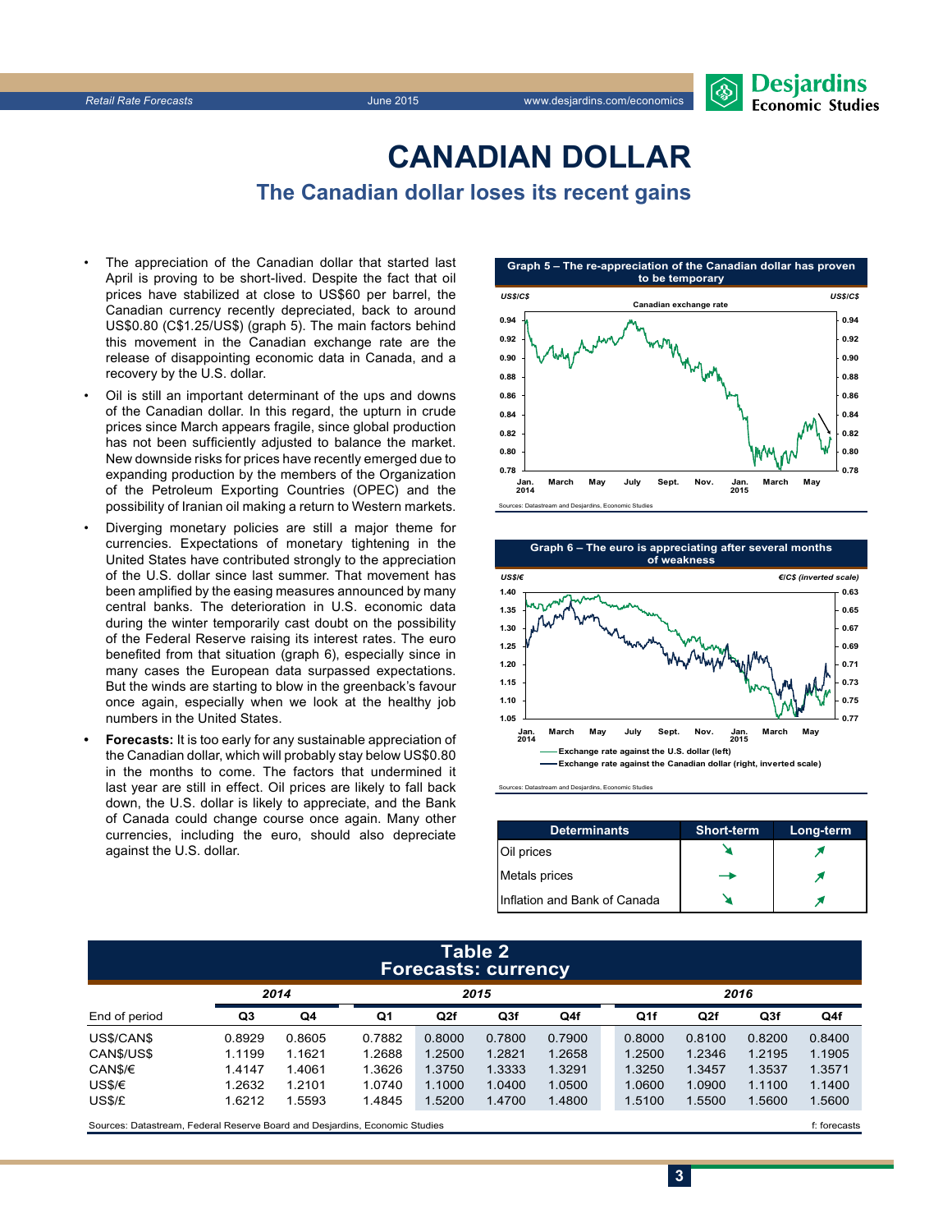

## **CanadiAn Dollar The Canadian dollar loses its recent gains**

The appreciation of the Canadian dollar that started last April is proving to be short-lived. Despite the fact that oil prices have stabilized at close to US\$60 per barrel, the Canadian currency recently depreciated, back to around US\$0.80 (C\$1.25/US\$) (graph 5). The main factors behind this movement in the Canadian exchange rate are the release of disappointing economic data in Canada, and a recovery by the U.S. dollar.

- Oil is still an important determinant of the ups and downs of the Canadian dollar. In this regard, the upturn in crude prices since March appears fragile, since global production has not been sufficiently adjusted to balance the market. New downside risks for prices have recently emerged due to expanding production by the members of the Organization of the Petroleum Exporting Countries (OPEC) and the possibility of Iranian oil making a return to Western markets.
- Diverging monetary policies are still a major theme for currencies. Expectations of monetary tightening in the United States have contributed strongly to the appreciation of the U.S. dollar since last summer. That movement has been amplified by the easing measures announced by many central banks. The deterioration in U.S. economic data during the winter temporarily cast doubt on the possibility of the Federal Reserve raising its interest rates. The euro benefited from that situation (graph 6), especially since in many cases the European data surpassed expectations. But the winds are starting to blow in the greenback's favour once again, especially when we look at the healthy job numbers in the United States.
- **Forecasts:** It is too early for any sustainable appreciation of the Canadian dollar, which will probably stay below US\$0.80 in the months to come. The factors that undermined it last year are still in effect. Oil prices are likely to fall back down, the U.S. dollar is likely to appreciate, and the Bank of Canada could change course once again. Many other currencies, including the euro, should also depreciate against the U.S. dollar.





Sources: Datastream and Desjardins, Economic Studies

| <b>Determinants</b>          | <b>Short-term</b> | Long-term |
|------------------------------|-------------------|-----------|
| Oil prices                   |                   |           |
| Metals prices                |                   |           |
| Inflation and Bank of Canada |                   |           |

#### **Table 2 Forecasts: currency**

|               | 2014   |        | 2015   |        |        |        | 2016   |        |                 |        |
|---------------|--------|--------|--------|--------|--------|--------|--------|--------|-----------------|--------|
| End of period | Q3     | Q4     | Q1     | Q2f    | Q3f    | Q4f    | Q1f    | Q2f    | Q <sub>3f</sub> | Q4f    |
| US\$/CAN\$    | 0.8929 | 0.8605 | 0.7882 | 0.8000 | 0.7800 | 0.7900 | 0.8000 | 0.8100 | 0.8200          | 0.8400 |
| CANS/USS      | 1.1199 | 1.1621 | 1.2688 | 1.2500 | 1.2821 | 1.2658 | 1.2500 | 1.2346 | 1.2195          | 1.1905 |
| CAN\$/€       | 1.4147 | 1.4061 | 1.3626 | 1.3750 | 1.3333 | 1.3291 | 1.3250 | 1.3457 | 1.3537          | 1.3571 |
| US\$/€        | 1.2632 | 1.2101 | 1.0740 | 1.1000 | 1.0400 | 1.0500 | 1.0600 | 1.0900 | 1.1100          | 1.1400 |
| US\$/£        | 1.6212 | 1.5593 | 1.4845 | 1.5200 | 1.4700 | 1.4800 | 1.5100 | 1.5500 | 1.5600          | 1.5600 |
|               |        |        |        |        |        |        |        |        |                 |        |

Sources: Datastream, Federal Reserve Board and Desjardins, Economic Studies files for example of the studies files forecasts files forecasts

**3**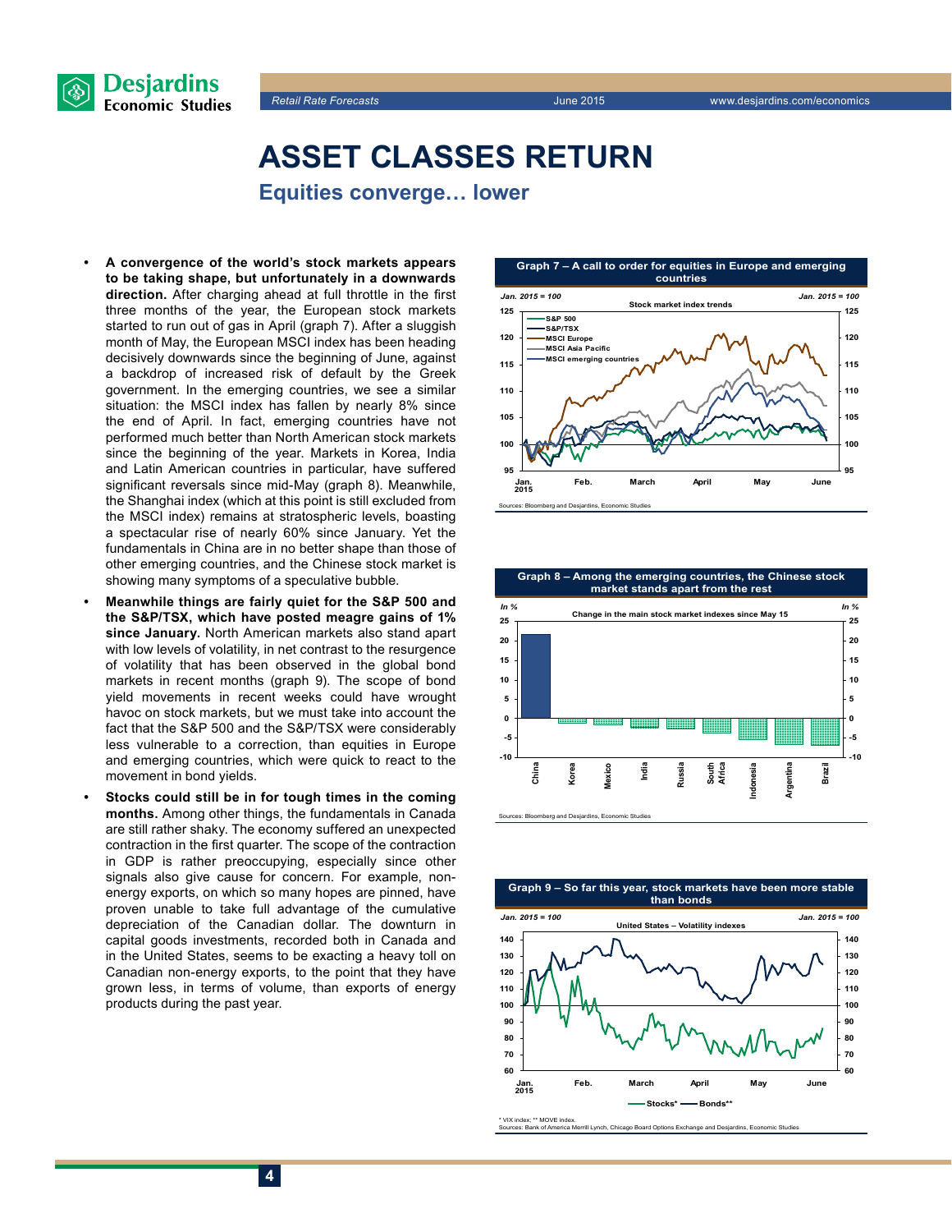



## **Asset classes return**

**Equities converge… lower**

- **• A convergence of the world's stock markets appears to be taking shape, but unfortunately in a downwards direction.** After charging ahead at full throttle in the first three months of the year, the European stock markets started to run out of gas in April (graph 7). After a sluggish month of May, the European MSCI index has been heading decisively downwards since the beginning of June, against a backdrop of increased risk of default by the Greek government. In the emerging countries, we see a similar situation: the MSCI index has fallen by nearly 8% since the end of April. In fact, emerging countries have not performed much better than North American stock markets since the beginning of the year. Markets in Korea, India and Latin American countries in particular, have suffered significant reversals since mid-May (graph 8). Meanwhile, the Shanghai index (which at this point is still excluded from the MSCI index) remains at stratospheric levels, boasting a spectacular rise of nearly 60% since January. Yet the fundamentals in China are in no better shape than those of other emerging countries, and the Chinese stock market is showing many symptoms of a speculative bubble.
- **• Meanwhile things are fairly quiet for the S&P 500 and the S&P/TSX, which have posted meagre gains of 1% since January.** North American markets also stand apart with low levels of volatility, in net contrast to the resurgence of volatility that has been observed in the global bond markets in recent months (graph 9). The scope of bond yield movements in recent weeks could have wrought havoc on stock markets, but we must take into account the fact that the S&P 500 and the S&P/TSX were considerably less vulnerable to a correction, than equities in Europe and emerging countries, which were quick to react to the movement in bond yields.
- Stocks could still be in for tough times in the coming **months.** Among other things, the fundamentals in Canada are still rather shaky. The economy suffered an unexpected contraction in the first quarter. The scope of the contraction in GDP is rather preoccupying, especially since other signals also give cause for concern. For example, nonenergy exports, on which so many hopes are pinned, have proven unable to take full advantage of the cumulative depreciation of the Canadian dollar. The downturn in capital goods investments, recorded both in Canada and in the United States, seems to be exacting a heavy toll on Canadian non-energy exports, to the point that they have grown less, in terms of volume, than exports of energy products during the past year.



**Graph 8 – Among the emerging countries, the Chinese stock market stands apart from the rest**





www.muex; www.<br>Sources: Bank of Am mack:<br>rica Merrill Lynch, Chicago Board Options Exchange and Desja